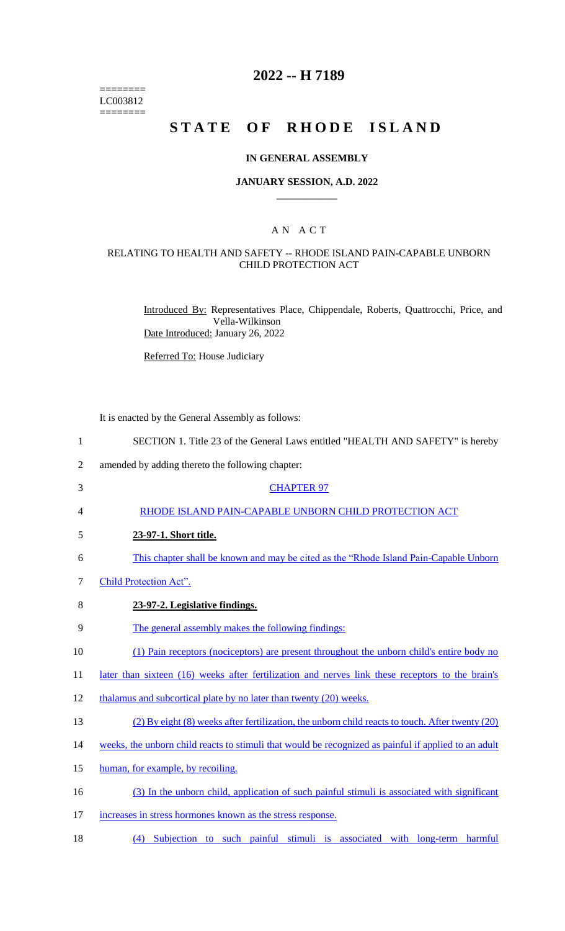======== LC003812 ========

# **2022 -- H 7189**

# **STATE OF RHODE ISLAND**

#### **IN GENERAL ASSEMBLY**

#### **JANUARY SESSION, A.D. 2022 \_\_\_\_\_\_\_\_\_\_\_\_**

## A N A C T

## RELATING TO HEALTH AND SAFETY -- RHODE ISLAND PAIN-CAPABLE UNBORN CHILD PROTECTION ACT

Introduced By: Representatives Place, Chippendale, Roberts, Quattrocchi, Price, and Vella-Wilkinson Date Introduced: January 26, 2022

Referred To: House Judiciary

It is enacted by the General Assembly as follows:

| $\mathbf{1}$   | SECTION 1. Title 23 of the General Laws entitled "HEALTH AND SAFETY" is hereby                       |
|----------------|------------------------------------------------------------------------------------------------------|
| $\overline{2}$ | amended by adding thereto the following chapter:                                                     |
| 3              | <b>CHAPTER 97</b>                                                                                    |
| $\overline{4}$ | RHODE ISLAND PAIN-CAPABLE UNBORN CHILD PROTECTION ACT                                                |
| 5              | 23-97-1. Short title.                                                                                |
| 6              | This chapter shall be known and may be cited as the "Rhode Island Pain-Capable Unborn"               |
| 7              | Child Protection Act".                                                                               |
| 8              | 23-97-2. Legislative findings.                                                                       |
| 9              | The general assembly makes the following findings:                                                   |
| 10             | (1) Pain receptors (nociceptors) are present throughout the unborn child's entire body no            |
| 11             | later than sixteen (16) weeks after fertilization and nerves link these receptors to the brain's     |
| 12             | thalamus and subcortical plate by no later than twenty (20) weeks.                                   |
| 13             | (2) By eight (8) weeks after fertilization, the unborn child reacts to touch. After twenty (20)      |
| 14             | weeks, the unborn child reacts to stimuli that would be recognized as painful if applied to an adult |
| 15             | human, for example, by recoiling.                                                                    |
| 16             | (3) In the unborn child, application of such painful stimuli is associated with significant          |
| 17             | increases in stress hormones known as the stress response.                                           |
|                |                                                                                                      |

18 (4) Subjection to such painful stimuli is associated with long-term harmful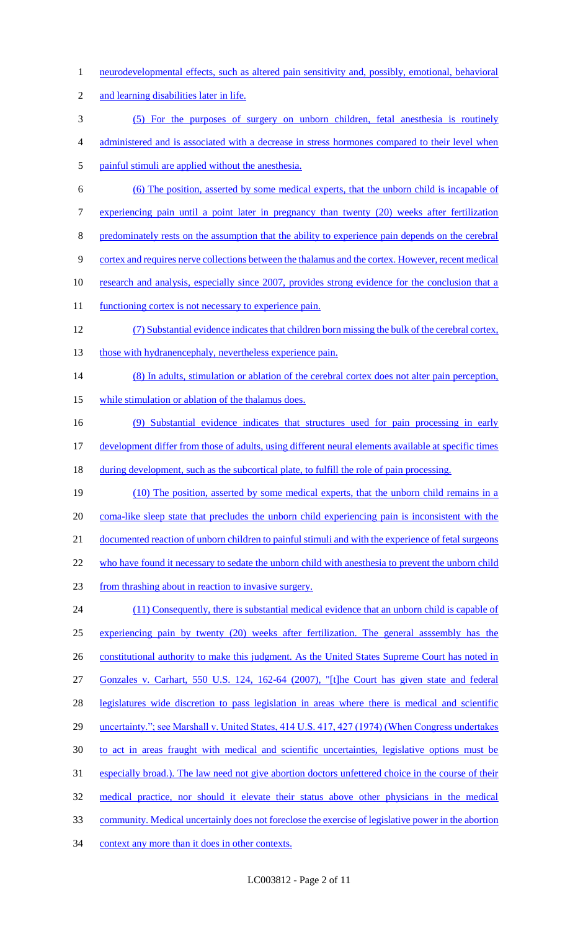- 1 neurodevelopmental effects, such as altered pain sensitivity and, possibly, emotional, behavioral
- 2 and learning disabilities later in life.
- 3 (5) For the purposes of surgery on unborn children, fetal anesthesia is routinely
- 4 administered and is associated with a decrease in stress hormones compared to their level when
- 5 painful stimuli are applied without the anesthesia.
- 6 (6) The position, asserted by some medical experts, that the unborn child is incapable of
- 7 experiencing pain until a point later in pregnancy than twenty (20) weeks after fertilization
- 8 predominately rests on the assumption that the ability to experience pain depends on the cerebral
- 9 cortex and requires nerve collections between the thalamus and the cortex. However, recent medical
- 10 research and analysis, especially since 2007, provides strong evidence for the conclusion that a
- 11 functioning cortex is not necessary to experience pain.
- 12 (7) Substantial evidence indicates that children born missing the bulk of the cerebral cortex, 13 those with hydranencephaly, nevertheless experience pain.
- 14 (8) In adults, stimulation or ablation of the cerebral cortex does not alter pain perception, 15 while stimulation or ablation of the thalamus does.
- 16 (9) Substantial evidence indicates that structures used for pain processing in early 17 development differ from those of adults, using different neural elements available at specific times
- 18 during development, such as the subcortical plate, to fulfill the role of pain processing.
- 19 (10) The position, asserted by some medical experts, that the unborn child remains in a 20 coma-like sleep state that precludes the unborn child experiencing pain is inconsistent with the 21 documented reaction of unborn children to painful stimuli and with the experience of fetal surgeons 22 who have found it necessary to sedate the unborn child with anesthesia to prevent the unborn child 23 from thrashing about in reaction to invasive surgery. 24 (11) Consequently, there is substantial medical evidence that an unborn child is capable of
- 25 experiencing pain by twenty (20) weeks after fertilization. The general asssembly has the 26 constitutional authority to make this judgment. As the United States Supreme Court has noted in 27 Gonzales v. Carhart, 550 U.S. 124, 162-64 (2007), "[t]he Court has given state and federal 28 legislatures wide discretion to pass legislation in areas where there is medical and scientific
- 29 uncertainty."; see Marshall v. United States, 414 U.S. 417, 427 (1974) (When Congress undertakes
- 30 to act in areas fraught with medical and scientific uncertainties, legislative options must be
- 31 especially broad.). The law need not give abortion doctors unfettered choice in the course of their
- 32 medical practice, nor should it elevate their status above other physicians in the medical
- 33 community. Medical uncertainly does not foreclose the exercise of legislative power in the abortion
- 34 context any more than it does in other contexts.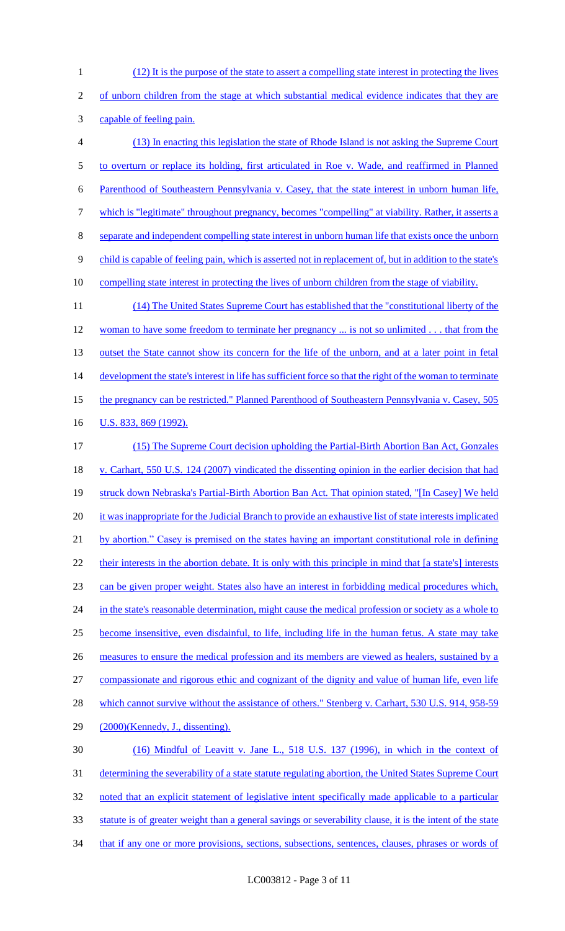(12) It is the purpose of the state to assert a compelling state interest in protecting the lives of unborn children from the stage at which substantial medical evidence indicates that they are capable of feeling pain. (13) In enacting this legislation the state of Rhode Island is not asking the Supreme Court to overturn or replace its holding, first articulated in Roe v. Wade, and reaffirmed in Planned Parenthood of Southeastern Pennsylvania v. Casey, that the state interest in unborn human life, which is "legitimate" throughout pregnancy, becomes "compelling" at viability. Rather, it asserts a separate and independent compelling state interest in unborn human life that exists once the unborn 9 child is capable of feeling pain, which is asserted not in replacement of, but in addition to the state's compelling state interest in protecting the lives of unborn children from the stage of viability. (14) The United States Supreme Court has established that the "constitutional liberty of the 12 woman to have some freedom to terminate her pregnancy ... is not so unlimited . . . that from the 13 outset the State cannot show its concern for the life of the unborn, and at a later point in fetal 14 development the state's interest in life has sufficient force so that the right of the woman to terminate

15 the pregnancy can be restricted." Planned Parenthood of Southeastern Pennsylvania v. Casey, 505

16 U.S. 833, 869 (1992).

17 (15) The Supreme Court decision upholding the Partial-Birth Abortion Ban Act, Gonzales 18 v. Carhart, 550 U.S. 124 (2007) vindicated the dissenting opinion in the earlier decision that had 19 struck down Nebraska's Partial-Birth Abortion Ban Act. That opinion stated, "[In Casey] We held 20 it was inappropriate for the Judicial Branch to provide an exhaustive list of state interests implicated 21 by abortion." Casey is premised on the states having an important constitutional role in defining 22 their interests in the abortion debate. It is only with this principle in mind that [a state's] interests 23 can be given proper weight. States also have an interest in forbidding medical procedures which, 24 in the state's reasonable determination, might cause the medical profession or society as a whole to 25 become insensitive, even disdainful, to life, including life in the human fetus. A state may take 26 measures to ensure the medical profession and its members are viewed as healers, sustained by a 27 compassionate and rigorous ethic and cognizant of the dignity and value of human life, even life 28 which cannot survive without the assistance of others." Stenberg v. Carhart, 530 U.S. 914, 958-59 29 (2000)(Kennedy, J., dissenting). 30 (16) Mindful of Leavitt v. Jane L., 518 U.S. 137 (1996), in which in the context of 31 determining the severability of a state statute regulating abortion, the United States Supreme Court 32 noted that an explicit statement of legislative intent specifically made applicable to a particular 33 statute is of greater weight than a general savings or severability clause, it is the intent of the state

34 that if any one or more provisions, sections, subsections, sentences, clauses, phrases or words of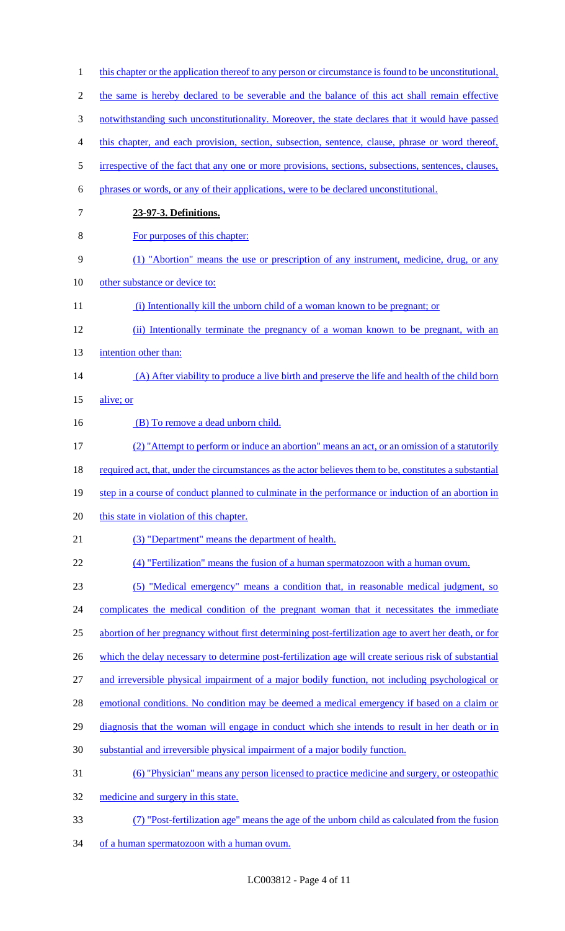| $\mathbf{1}$   | this chapter or the application thereof to any person or circumstance is found to be unconstitutional.  |
|----------------|---------------------------------------------------------------------------------------------------------|
| $\overline{2}$ | the same is hereby declared to be severable and the balance of this act shall remain effective          |
| 3              | notwithstanding such unconstitutionality. Moreover, the state declares that it would have passed        |
| 4              | this chapter, and each provision, section, subsection, sentence, clause, phrase or word thereof,        |
| 5              | irrespective of the fact that any one or more provisions, sections, subsections, sentences, clauses,    |
| 6              | phrases or words, or any of their applications, were to be declared unconstitutional.                   |
| 7              | 23-97-3. Definitions.                                                                                   |
| 8              | For purposes of this chapter:                                                                           |
| 9              | (1) "Abortion" means the use or prescription of any instrument, medicine, drug, or any                  |
| 10             | other substance or device to:                                                                           |
| 11             | (i) Intentionally kill the unborn child of a woman known to be pregnant; or                             |
| 12             | (ii) Intentionally terminate the pregnancy of a woman known to be pregnant, with an                     |
| 13             | intention other than:                                                                                   |
| 14             | (A) After viability to produce a live birth and preserve the life and health of the child born          |
| 15             | alive; or                                                                                               |
| 16             | (B) To remove a dead unborn child.                                                                      |
| 17             | (2) "Attempt to perform or induce an abortion" means an act, or an omission of a statutorily            |
| 18             | required act, that, under the circumstances as the actor believes them to be, constitutes a substantial |
| 19             | step in a course of conduct planned to culminate in the performance or induction of an abortion in      |
| 20             | this state in violation of this chapter.                                                                |
| 21             | (3) "Department" means the department of health.                                                        |
| 22             | (4) "Fertilization" means the fusion of a human spermatozoon with a human ovum.                         |
| 23             | (5) "Medical emergency" means a condition that, in reasonable medical judgment, so                      |
| 24             | complicates the medical condition of the pregnant woman that it necessitates the immediate              |
| 25             | abortion of her pregnancy without first determining post-fertilization age to avert her death, or for   |
| 26             | which the delay necessary to determine post-fertilization age will create serious risk of substantial   |
| 27             | and irreversible physical impairment of a major bodily function, not including psychological or         |
| 28             | emotional conditions. No condition may be deemed a medical emergency if based on a claim or             |
| 29             | diagnosis that the woman will engage in conduct which she intends to result in her death or in          |
| 30             | substantial and irreversible physical impairment of a major bodily function.                            |
| 31             | <u>(6) "Physician" means any person licensed to practice medicine and surgery, or osteopathic</u>       |
| 32             | medicine and surgery in this state.                                                                     |
| 33             | (7) "Post-fertilization age" means the age of the unborn child as calculated from the fusion            |
| 34             | of a human spermatozoon with a human ovum.                                                              |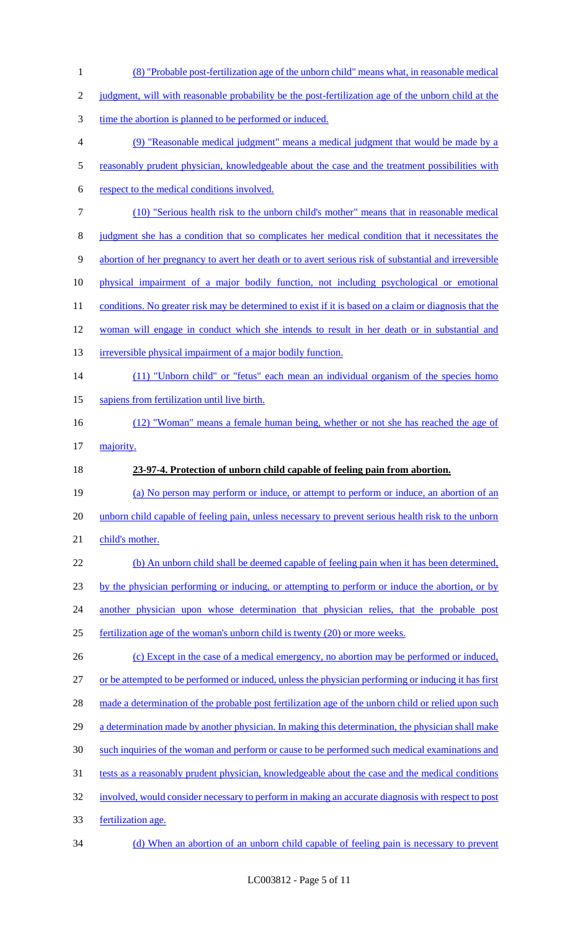| $\mathbf{1}$   | (8) "Probable post-fertilization age of the unborn child" means what, in reasonable medical            |
|----------------|--------------------------------------------------------------------------------------------------------|
| $\mathbf{2}$   | judgment, will with reasonable probability be the post-fertilization age of the unborn child at the    |
| 3              | time the abortion is planned to be performed or induced.                                               |
| $\overline{4}$ | (9) "Reasonable medical judgment" means a medical judgment that would be made by a                     |
| $\mathfrak s$  | reasonably prudent physician, knowledgeable about the case and the treatment possibilities with        |
| 6              | respect to the medical conditions involved.                                                            |
| $\tau$         | (10) "Serious health risk to the unborn child's mother" means that in reasonable medical               |
| $8\,$          | judgment she has a condition that so complicates her medical condition that it necessitates the        |
| $\mathbf{9}$   | abortion of her pregnancy to avert her death or to avert serious risk of substantial and irreversible  |
| 10             | physical impairment of a major bodily function, not including psychological or emotional               |
| 11             | conditions. No greater risk may be determined to exist if it is based on a claim or diagnosis that the |
| 12             | woman will engage in conduct which she intends to result in her death or in substantial and            |
| 13             | irreversible physical impairment of a major bodily function.                                           |
| 14             | (11) "Unborn child" or "fetus" each mean an individual organism of the species homo                    |
| 15             | sapiens from fertilization until live birth.                                                           |
| 16             | (12) "Woman" means a female human being, whether or not she has reached the age of                     |
| 17             | majority.                                                                                              |
| 18             | 23-97-4. Protection of unborn child capable of feeling pain from abortion.                             |
| 19             | (a) No person may perform or induce, or attempt to perform or induce, an abortion of an                |
| 20             | unborn child capable of feeling pain, unless necessary to prevent serious health risk to the unborn    |
| 21             | child's mother.                                                                                        |
| 22             | (b) An unborn child shall be deemed capable of feeling pain when it has been determined,               |
| 23             | by the physician performing or inducing, or attempting to perform or induce the abortion, or by        |
| 24             | another physician upon whose determination that physician relies, that the probable post               |
| 25             | fertilization age of the woman's unborn child is twenty (20) or more weeks.                            |
| 26             | (c) Except in the case of a medical emergency, no abortion may be performed or induced,                |
| 27             | or be attempted to be performed or induced, unless the physician performing or inducing it has first   |
| 28             | made a determination of the probable post fertilization age of the unborn child or relied upon such    |
| 29             | a determination made by another physician. In making this determination, the physician shall make      |
| 30             | such inquiries of the woman and perform or cause to be performed such medical examinations and         |
| 31             | tests as a reasonably prudent physician, knowledgeable about the case and the medical conditions       |
| 32             | involved, would consider necessary to perform in making an accurate diagnosis with respect to post     |
| 33             |                                                                                                        |
|                | fertilization age.                                                                                     |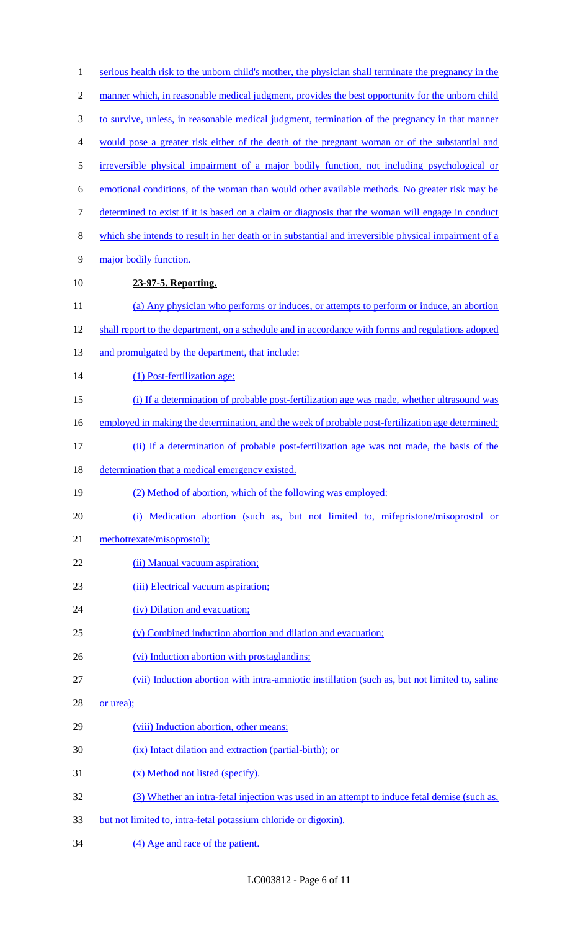| $\mathbf{1}$   | serious health risk to the unborn child's mother, the physician shall terminate the pregnancy in the |
|----------------|------------------------------------------------------------------------------------------------------|
| $\overline{2}$ | manner which, in reasonable medical judgment, provides the best opportunity for the unborn child     |
| $\mathfrak{Z}$ | to survive, unless, in reasonable medical judgment, termination of the pregnancy in that manner      |
| $\overline{4}$ | would pose a greater risk either of the death of the pregnant woman or of the substantial and        |
| $\mathfrak s$  | irreversible physical impairment of a major bodily function, not including psychological or          |
| 6              | emotional conditions, of the woman than would other available methods. No greater risk may be        |
| $\tau$         | determined to exist if it is based on a claim or diagnosis that the woman will engage in conduct     |
| $8\,$          | which she intends to result in her death or in substantial and irreversible physical impairment of a |
| 9              | major bodily function.                                                                               |
| 10             | 23-97-5. Reporting.                                                                                  |
| 11             | (a) Any physician who performs or induces, or attempts to perform or induce, an abortion             |
| 12             | shall report to the department, on a schedule and in accordance with forms and regulations adopted   |
| 13             | and promulgated by the department, that include:                                                     |
| 14             | (1) Post-fertilization age:                                                                          |
| 15             | (i) If a determination of probable post-fertilization age was made, whether ultrasound was           |
| 16             | employed in making the determination, and the week of probable post-fertilization age determined;    |
| 17             | (ii) If a determination of probable post-fertilization age was not made, the basis of the            |
| 18             | determination that a medical emergency existed.                                                      |
| 19             | (2) Method of abortion, which of the following was employed:                                         |
| 20             | (i) Medication abortion (such as, but not limited to, mifepristone/misoprostol or                    |
| 21             | methotrexate/misoprostol);                                                                           |
| 22             | (ii) Manual vacuum aspiration;                                                                       |
| 23             | (iii) Electrical vacuum aspiration;                                                                  |
| 24             | (iv) Dilation and evacuation;                                                                        |
| 25             | (v) Combined induction abortion and dilation and evacuation;                                         |
| 26             | (vi) Induction abortion with prostaglandins;                                                         |
| 27             | (vii) Induction abortion with intra-amniotic instillation (such as, but not limited to, saline       |
| 28             | or urea);                                                                                            |
| 29             | (viii) Induction abortion, other means;                                                              |
| 30             | (ix) Intact dilation and extraction (partial-birth); or                                              |
| 31             | (x) Method not listed (specify).                                                                     |
| 32             | (3) Whether an intra-fetal injection was used in an attempt to induce fetal demise (such as,         |
| 33             | but not limited to, intra-fetal potassium chloride or digoxin).                                      |
| 34             | (4) Age and race of the patient.                                                                     |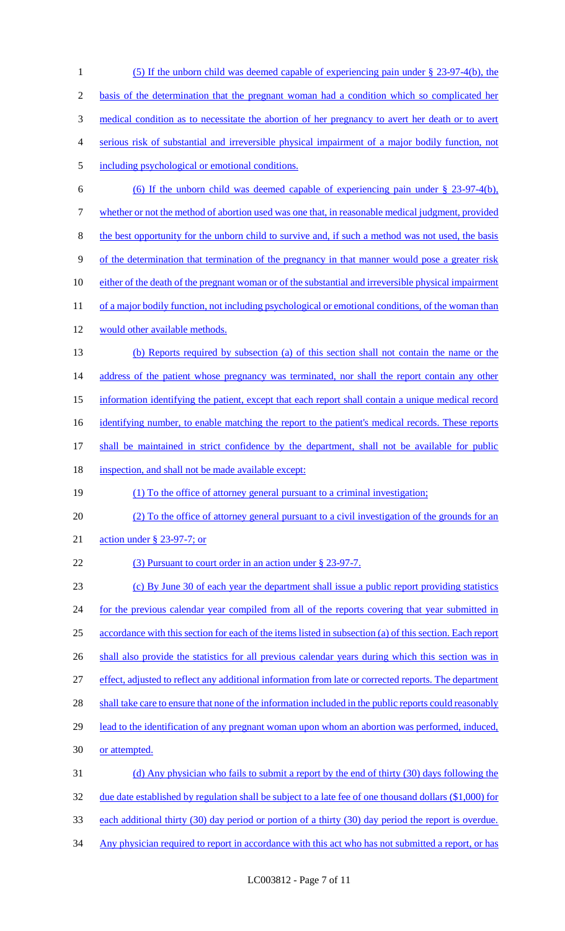(5) If the unborn child was deemed capable of experiencing pain under § 23-97-4(b), the basis of the determination that the pregnant woman had a condition which so complicated her medical condition as to necessitate the abortion of her pregnancy to avert her death or to avert serious risk of substantial and irreversible physical impairment of a major bodily function, not including psychological or emotional conditions. (6) If the unborn child was deemed capable of experiencing pain under § 23-97-4(b), whether or not the method of abortion used was one that, in reasonable medical judgment, provided the best opportunity for the unborn child to survive and, if such a method was not used, the basis of the determination that termination of the pregnancy in that manner would pose a greater risk 10 either of the death of the pregnant woman or of the substantial and irreversible physical impairment 11 of a major bodily function, not including psychological or emotional conditions, of the woman than would other available methods. (b) Reports required by subsection (a) of this section shall not contain the name or the 14 address of the patient whose pregnancy was terminated, nor shall the report contain any other information identifying the patient, except that each report shall contain a unique medical record 16 identifying number, to enable matching the report to the patient's medical records. These reports 17 shall be maintained in strict confidence by the department, shall not be available for public 18 inspection, and shall not be made available except: (1) To the office of attorney general pursuant to a criminal investigation; (2) To the office of attorney general pursuant to a civil investigation of the grounds for an action under § 23-97-7; or 22 (3) Pursuant to court order in an action under § 23-97-7. (c) By June 30 of each year the department shall issue a public report providing statistics 24 for the previous calendar year compiled from all of the reports covering that year submitted in accordance with this section for each of the items listed in subsection (a) of this section. Each report 26 shall also provide the statistics for all previous calendar years during which this section was in effect, adjusted to reflect any additional information from late or corrected reports. The department 28 shall take care to ensure that none of the information included in the public reports could reasonably 29 lead to the identification of any pregnant woman upon whom an abortion was performed, induced, or attempted. (d) Any physician who fails to submit a report by the end of thirty (30) days following the 32 due date established by regulation shall be subject to a late fee of one thousand dollars (\$1,000) for each additional thirty (30) day period or portion of a thirty (30) day period the report is overdue. 34 Any physician required to report in accordance with this act who has not submitted a report, or has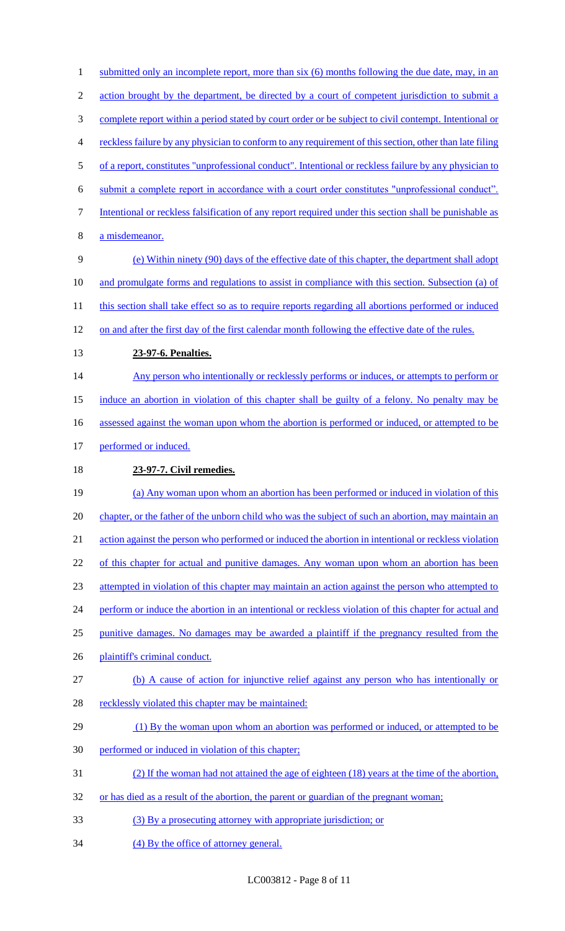1 submitted only an incomplete report, more than six (6) months following the due date, may, in an 2 action brought by the department, be directed by a court of competent jurisdiction to submit a complete report within a period stated by court order or be subject to civil contempt. Intentional or reckless failure by any physician to conform to any requirement of this section, other than late filing of a report, constitutes "unprofessional conduct". Intentional or reckless failure by any physician to submit a complete report in accordance with a court order constitutes "unprofessional conduct". Intentional or reckless falsification of any report required under this section shall be punishable as a misdemeanor. (e) Within ninety (90) days of the effective date of this chapter, the department shall adopt and promulgate forms and regulations to assist in compliance with this section. Subsection (a) of 11 this section shall take effect so as to require reports regarding all abortions performed or induced on and after the first day of the first calendar month following the effective date of the rules. **23-97-6. Penalties.**  14 Any person who intentionally or recklessly performs or induces, or attempts to perform or induce an abortion in violation of this chapter shall be guilty of a felony. No penalty may be 16 assessed against the woman upon whom the abortion is performed or induced, or attempted to be 17 performed or induced. **23-97-7. Civil remedies.**  (a) Any woman upon whom an abortion has been performed or induced in violation of this chapter, or the father of the unborn child who was the subject of such an abortion, may maintain an action against the person who performed or induced the abortion in intentional or reckless violation 22 of this chapter for actual and punitive damages. Any woman upon whom an abortion has been attempted in violation of this chapter may maintain an action against the person who attempted to 24 perform or induce the abortion in an intentional or reckless violation of this chapter for actual and punitive damages. No damages may be awarded a plaintiff if the pregnancy resulted from the plaintiff's criminal conduct. (b) A cause of action for injunctive relief against any person who has intentionally or 28 recklessly violated this chapter may be maintained: 29 (1) By the woman upon whom an abortion was performed or induced, or attempted to be performed or induced in violation of this chapter; (2) If the woman had not attained the age of eighteen (18) years at the time of the abortion, 32 or has died as a result of the abortion, the parent or guardian of the pregnant woman; (3) By a prosecuting attorney with appropriate jurisdiction; or 34 (4) By the office of attorney general.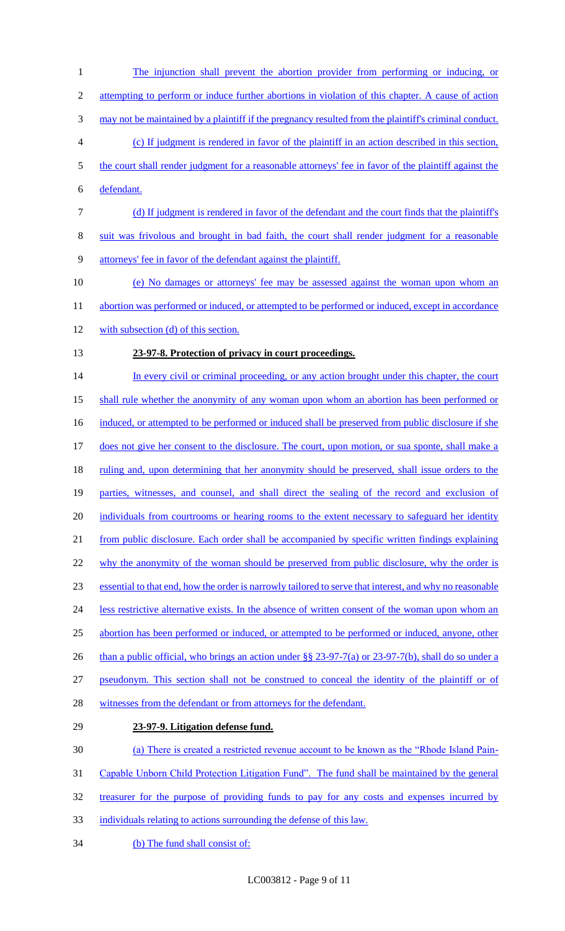The injunction shall prevent the abortion provider from performing or inducing, or 2 attempting to perform or induce further abortions in violation of this chapter. A cause of action may not be maintained by a plaintiff if the pregnancy resulted from the plaintiff's criminal conduct. (c) If judgment is rendered in favor of the plaintiff in an action described in this section, the court shall render judgment for a reasonable attorneys' fee in favor of the plaintiff against the defendant. (d) If judgment is rendered in favor of the defendant and the court finds that the plaintiff's suit was frivolous and brought in bad faith, the court shall render judgment for a reasonable attorneys' fee in favor of the defendant against the plaintiff. (e) No damages or attorneys' fee may be assessed against the woman upon whom an 11 abortion was performed or induced, or attempted to be performed or induced, except in accordance with subsection (d) of this section. **23-97-8. Protection of privacy in court proceedings.**  14 In every civil or criminal proceeding, or any action brought under this chapter, the court shall rule whether the anonymity of any woman upon whom an abortion has been performed or 16 induced, or attempted to be performed or induced shall be preserved from public disclosure if she 17 does not give her consent to the disclosure. The court, upon motion, or sua sponte, shall make a 18 ruling and, upon determining that her anonymity should be preserved, shall issue orders to the parties, witnesses, and counsel, and shall direct the sealing of the record and exclusion of 20 individuals from courtrooms or hearing rooms to the extent necessary to safeguard her identity from public disclosure. Each order shall be accompanied by specific written findings explaining 22 why the anonymity of the woman should be preserved from public disclosure, why the order is essential to that end, how the order is narrowly tailored to serve that interest, and why no reasonable 24 less restrictive alternative exists. In the absence of written consent of the woman upon whom an abortion has been performed or induced, or attempted to be performed or induced, anyone, other 26 than a public official, who brings an action under §§ 23-97-7(a) or 23-97-7(b), shall do so under a pseudonym. This section shall not be construed to conceal the identity of the plaintiff or of 28 witnesses from the defendant or from attorneys for the defendant. **23-97-9. Litigation defense fund.**  (a) There is created a restricted revenue account to be known as the "Rhode Island Pain- Capable Unborn Child Protection Litigation Fund". The fund shall be maintained by the general treasurer for the purpose of providing funds to pay for any costs and expenses incurred by individuals relating to actions surrounding the defense of this law.

34 (b) The fund shall consist of: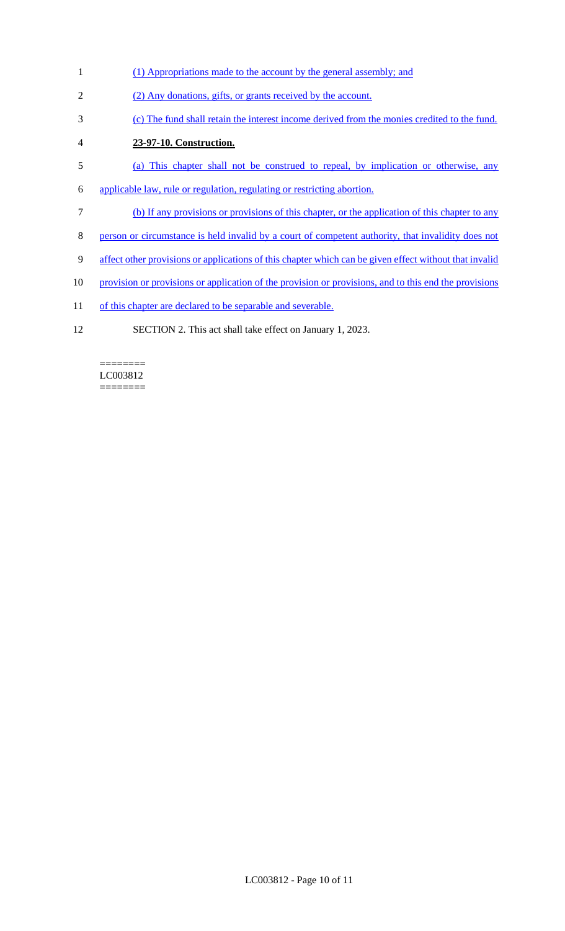- (1) Appropriations made to the account by the general assembly; and
- (2) Any donations, gifts, or grants received by the account.
- (c) The fund shall retain the interest income derived from the monies credited to the fund.
- **23-97-10. Construction.**
- (a) This chapter shall not be construed to repeal, by implication or otherwise, any
- applicable law, rule or regulation, regulating or restricting abortion.
- (b) If any provisions or provisions of this chapter, or the application of this chapter to any
- person or circumstance is held invalid by a court of competent authority, that invalidity does not
- affect other provisions or applications of this chapter which can be given effect without that invalid
- 10 provision or provisions or application of the provision or provisions, and to this end the provisions
- 11 of this chapter are declared to be separable and severable.
- SECTION 2. This act shall take effect on January 1, 2023.

======== LC003812 ========